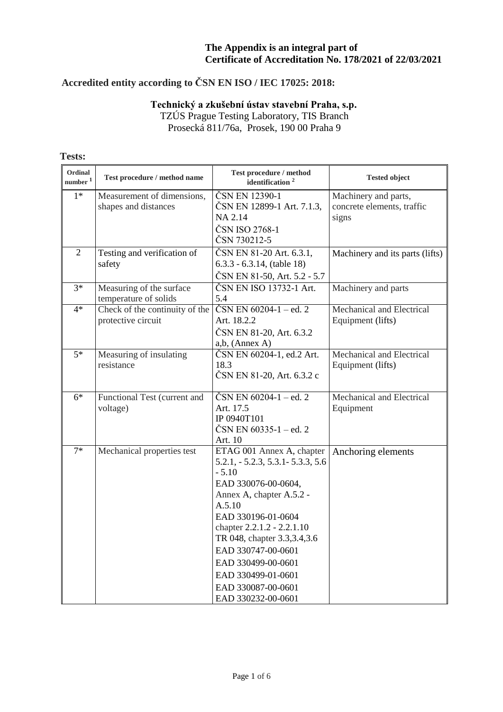# **Accredited entity according to ČSN EN ISO / IEC 17025: 2018:**

### **Technický a zkušební ústav stavební Praha, s.p.**

TZÚS Prague Testing Laboratory, TIS Branch Prosecká 811/76a, Prosek, 190 00 Praha 9

| Ordinal<br>number <sup>1</sup> | Test procedure / method name                         | Test procedure / method<br>identification <sup>2</sup>                                                                                                                                                                                                                                                                                      | <b>Tested object</b>                                        |
|--------------------------------|------------------------------------------------------|---------------------------------------------------------------------------------------------------------------------------------------------------------------------------------------------------------------------------------------------------------------------------------------------------------------------------------------------|-------------------------------------------------------------|
| $1*$                           | Measurement of dimensions,<br>shapes and distances   | ČSN EN 12390-1<br>ČSN EN 12899-1 Art. 7.1.3,<br>NA 2.14<br>ČSN ISO 2768-1<br>ČSN 730212-5                                                                                                                                                                                                                                                   | Machinery and parts,<br>concrete elements, traffic<br>signs |
| $\overline{2}$                 | Testing and verification of<br>safety                | ČSN EN 81-20 Art. 6.3.1,<br>$6.3.3 - 6.3.14$ , (table 18)<br>ČSN EN 81-50, Art. 5.2 - 5.7                                                                                                                                                                                                                                                   | Machinery and its parts (lifts)                             |
| $3*$                           | Measuring of the surface<br>temperature of solids    | ČSN EN ISO 13732-1 Art.<br>5.4                                                                                                                                                                                                                                                                                                              | Machinery and parts                                         |
| $4*$                           | Check of the continuity of the<br>protective circuit | $\text{ČSN}$ EN 60204-1 – ed. 2<br>Art. 18.2.2<br>ČSN EN 81-20, Art. 6.3.2<br>$a,b$ , (Annex A)                                                                                                                                                                                                                                             | Mechanical and Electrical<br>Equipment (lifts)              |
| $5*$                           | Measuring of insulating<br>resistance                | ČSN EN 60204-1, ed.2 Art.<br>18.3<br>ČSN EN 81-20, Art. 6.3.2 c                                                                                                                                                                                                                                                                             | Mechanical and Electrical<br>Equipment (lifts)              |
| $6*$                           | Functional Test (current and<br>voltage)             | $\text{ČSN}$ EN 60204-1 – ed. 2<br>Art. 17.5<br>IP 0940T101<br>ČSN EN $60335-1 -$ ed. 2<br>Art. 10                                                                                                                                                                                                                                          | Mechanical and Electrical<br>Equipment                      |
| $7*$                           | Mechanical properties test                           | ETAG 001 Annex A, chapter<br>$5.2.1, -5.2.3, 5.3.1 - 5.3.3, 5.6$<br>$-5.10$<br>EAD 330076-00-0604,<br>Annex A, chapter A.5.2 -<br>A.5.10<br>EAD 330196-01-0604<br>chapter 2.2.1.2 - 2.2.1.10<br>TR 048, chapter 3.3, 3.4, 3.6<br>EAD 330747-00-0601<br>EAD 330499-00-0601<br>EAD 330499-01-0601<br>EAD 330087-00-0601<br>EAD 330232-00-0601 | Anchoring elements                                          |

#### **Tests:**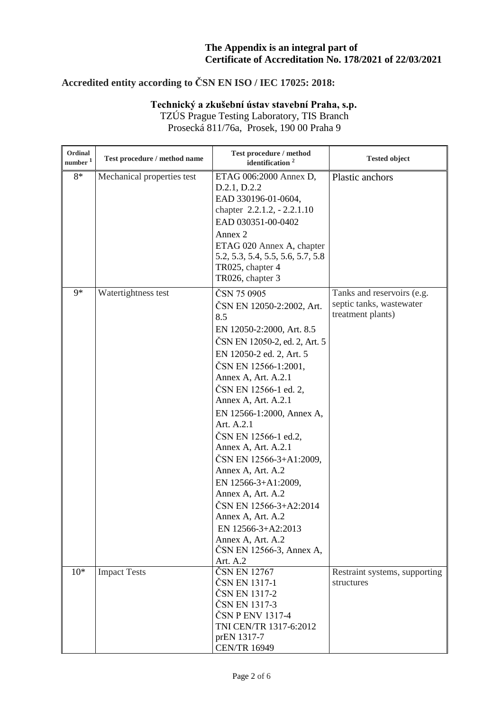# **Accredited entity according to ČSN EN ISO / IEC 17025: 2018:**

# **Technický a zkušební ústav stavební Praha, s.p.**

TZÚS Prague Testing Laboratory, TIS Branch Prosecká 811/76a, Prosek, 190 00 Praha 9

| Ordinal<br>number <sup>1</sup> | Test procedure / method name | Test procedure / method<br>identification $2$ | <b>Tested object</b>                          |
|--------------------------------|------------------------------|-----------------------------------------------|-----------------------------------------------|
| $8*$                           | Mechanical properties test   | ETAG 006:2000 Annex D,<br>D.2.1, D.2.2        | Plastic anchors                               |
|                                |                              | EAD 330196-01-0604,                           |                                               |
|                                |                              | chapter 2.2.1.2, - 2.2.1.10                   |                                               |
|                                |                              | EAD 030351-00-0402                            |                                               |
|                                |                              | Annex 2                                       |                                               |
|                                |                              | ETAG 020 Annex A, chapter                     |                                               |
|                                |                              | 5.2, 5.3, 5.4, 5.5, 5.6, 5.7, 5.8             |                                               |
|                                |                              | TR025, chapter 4                              |                                               |
|                                |                              | TR026, chapter 3                              |                                               |
| $9*$                           | Watertightness test          | ČSN 75 0905                                   | Tanks and reservoirs (e.g.                    |
|                                |                              | ČSN EN 12050-2:2002, Art.<br>8.5              | septic tanks, wastewater<br>treatment plants) |
|                                |                              | EN 12050-2:2000, Art. 8.5                     |                                               |
|                                |                              | ČSN EN 12050-2, ed. 2, Art. 5                 |                                               |
|                                |                              | EN 12050-2 ed. 2, Art. 5                      |                                               |
|                                |                              | ČSN EN 12566-1:2001,                          |                                               |
|                                |                              | Annex A, Art. A.2.1                           |                                               |
|                                |                              | ČSN EN 12566-1 ed. 2,                         |                                               |
|                                |                              | Annex A, Art. A.2.1                           |                                               |
|                                |                              | EN 12566-1:2000, Annex A,                     |                                               |
|                                |                              | Art. A.2.1                                    |                                               |
|                                |                              | ČSN EN 12566-1 ed.2,                          |                                               |
|                                |                              | Annex A, Art. A.2.1                           |                                               |
|                                |                              | ČSN EN 12566-3+A1:2009,                       |                                               |
|                                |                              | Annex A, Art. A.2                             |                                               |
|                                |                              | EN 12566-3+A1:2009,<br>Annex A, Art. A.2      |                                               |
|                                |                              | ČSN EN 12566-3+A2:2014                        |                                               |
|                                |                              | Annex A, Art. A.2                             |                                               |
|                                |                              | EN 12566-3+A2:2013                            |                                               |
|                                |                              | Annex A, Art. A.2                             |                                               |
|                                |                              | ČSN EN 12566-3, Annex A,                      |                                               |
|                                |                              | Art. A.2                                      |                                               |
| $10*$                          | <b>Impact Tests</b>          | ČSN EN 12767                                  | Restraint systems, supporting                 |
|                                |                              | ČSN EN 1317-1<br>ČSN EN 1317-2                | structures                                    |
|                                |                              | ČSN EN 1317-3                                 |                                               |
|                                |                              | ČSN P ENV 1317-4                              |                                               |
|                                |                              | TNI CEN/TR 1317-6:2012                        |                                               |
|                                |                              | prEN 1317-7                                   |                                               |
|                                |                              | <b>CEN/TR 16949</b>                           |                                               |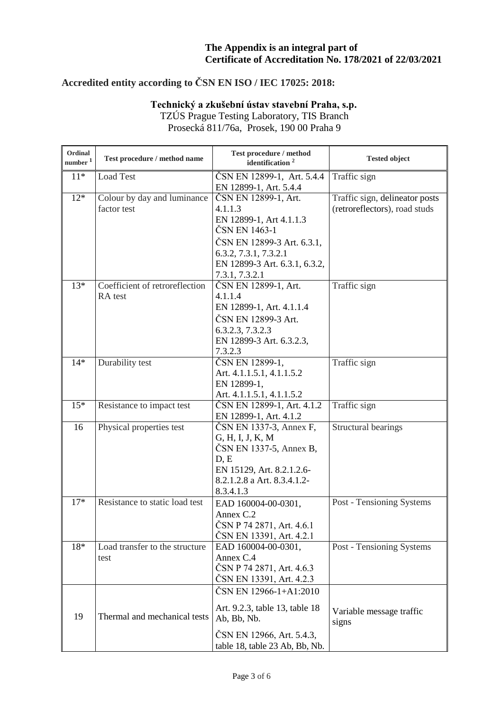# **Accredited entity according to ČSN EN ISO / IEC 17025: 2018:**

### **Technický a zkušební ústav stavební Praha, s.p.** TZÚS Prague Testing Laboratory, TIS Branch

Prosecká 811/76a, Prosek, 190 00 Praha 9

| Ordinal<br>number <sup>1</sup> | Test procedure / method name   | Test procedure / method<br>identification <sup>2</sup> | <b>Tested object</b>           |
|--------------------------------|--------------------------------|--------------------------------------------------------|--------------------------------|
| $11*$                          | <b>Load Test</b>               | ČSN EN 12899-1, Art. 5.4.4                             | Traffic sign                   |
|                                |                                | EN 12899-1, Art. 5.4.4                                 |                                |
| $12*$                          | Colour by day and luminance    | ČSN EN 12899-1, Art.                                   | Traffic sign, delineator posts |
|                                | factor test                    | 4.1.1.3                                                | (retroreflectors), road studs  |
|                                |                                | EN 12899-1, Art 4.1.1.3                                |                                |
|                                |                                | ČSN EN 1463-1                                          |                                |
|                                |                                | ČSN EN 12899-3 Art. 6.3.1,                             |                                |
|                                |                                | 6.3.2, 7.3.1, 7.3.2.1                                  |                                |
|                                |                                | EN 12899-3 Art. 6.3.1, 6.3.2,                          |                                |
| $13*$                          | Coefficient of retroreflection | 7.3.1, 7.3.2.1<br>ČSN EN 12899-1, Art.                 | Traffic sign                   |
|                                | RA test                        | 4.1.1.4                                                |                                |
|                                |                                | EN 12899-1, Art. 4.1.1.4                               |                                |
|                                |                                | ČSN EN 12899-3 Art.                                    |                                |
|                                |                                | 6.3.2.3, 7.3.2.3                                       |                                |
|                                |                                | EN 12899-3 Art. 6.3.2.3,                               |                                |
|                                |                                | 7.3.2.3                                                |                                |
| $14*$                          | Durability test                | ČSN EN 12899-1,                                        | Traffic sign                   |
|                                |                                | Art. 4.1.1.5.1, 4.1.1.5.2                              |                                |
|                                |                                | EN 12899-1,                                            |                                |
|                                |                                | Art. 4.1.1.5.1, 4.1.1.5.2                              |                                |
| $15*$                          | Resistance to impact test      | ČSN EN 12899-1, Art. 4.1.2                             | Traffic sign                   |
|                                |                                | EN 12899-1, Art. 4.1.2                                 |                                |
| 16                             | Physical properties test       | ČSN EN 1337-3, Annex F,                                | Structural bearings            |
|                                |                                | G, H, I, J, K, M                                       |                                |
|                                |                                | ČSN EN 1337-5, Annex B,<br>D, E                        |                                |
|                                |                                | EN 15129, Art. 8.2.1.2.6-                              |                                |
|                                |                                | 8.2.1.2.8 a Art. 8.3.4.1.2-                            |                                |
|                                |                                | 8.3.4.1.3                                              |                                |
| $17*$                          | Resistance to static load test | EAD 160004-00-0301,                                    | Post - Tensioning Systems      |
|                                |                                | Annex C.2                                              |                                |
|                                |                                | ČSN P 74 2871, Art. 4.6.1                              |                                |
|                                |                                | ČSN EN 13391, Art. 4.2.1                               |                                |
| 18*                            | Load transfer to the structure | EAD 160004-00-0301,                                    | Post - Tensioning Systems      |
|                                | test                           | Annex C.4                                              |                                |
|                                |                                | ČSN P 74 2871, Art. 4.6.3                              |                                |
|                                |                                | ČSN EN 13391, Art. 4.2.3                               |                                |
|                                |                                | ČSN EN 12966-1+A1:2010                                 |                                |
|                                |                                | Art. 9.2.3, table 13, table 18                         | Variable message traffic       |
| 19                             | Thermal and mechanical tests   | Ab, Bb, Nb.                                            | signs                          |
|                                |                                | ČSN EN 12966, Art. 5.4.3,                              |                                |
|                                |                                | table 18, table 23 Ab, Bb, Nb.                         |                                |
|                                |                                |                                                        |                                |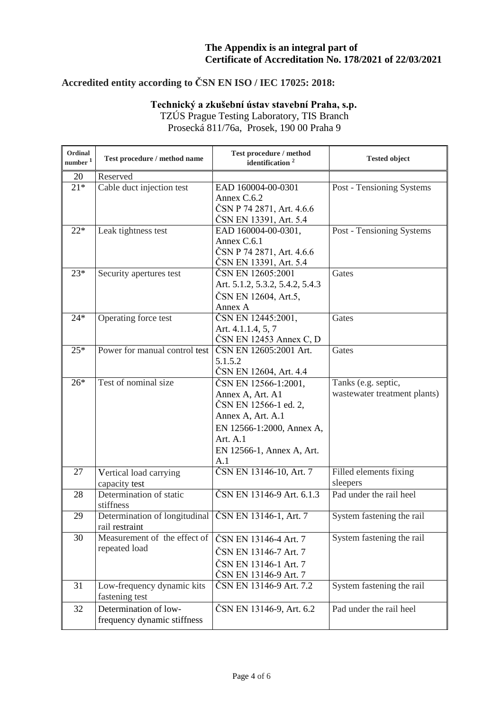# **Accredited entity according to ČSN EN ISO / IEC 17025: 2018:**

### **Technický a zkušební ústav stavební Praha, s.p.**

TZÚS Prague Testing Laboratory, TIS Branch Prosecká 811/76a, Prosek, 190 00 Praha 9

| Ordinal<br>number <sup>1</sup> | Test procedure / method name                         | Test procedure / method<br>identification <sup>2</sup>                                                                                                                | <b>Tested object</b>                                |
|--------------------------------|------------------------------------------------------|-----------------------------------------------------------------------------------------------------------------------------------------------------------------------|-----------------------------------------------------|
| 20                             | Reserved                                             |                                                                                                                                                                       |                                                     |
| $21*$                          | Cable duct injection test                            | EAD 160004-00-0301<br>Annex C.6.2<br>ČSN P 74 2871, Art. 4.6.6<br>ČSN EN 13391, Art. 5.4                                                                              | Post - Tensioning Systems                           |
| $22*$                          | Leak tightness test                                  | EAD 160004-00-0301,<br>Annex C.6.1<br>ČSN P 74 2871, Art. 4.6.6<br>ČSN EN 13391, Art. 5.4                                                                             | Post - Tensioning Systems                           |
| $23*$                          | Security apertures test                              | ČSN EN 12605:2001<br>Art. 5.1.2, 5.3.2, 5.4.2, 5.4.3<br>ČSN EN 12604, Art.5,<br>Annex A                                                                               | Gates                                               |
| $24*$                          | Operating force test                                 | ČSN EN 12445:2001,<br>Art. 4.1.1.4, 5, 7<br>$\text{ČSN}$ EN 12453 Annex C, D                                                                                          | Gates                                               |
| $25*$                          | Power for manual control test                        | ČSN EN 12605:2001 Art.<br>5.1.5.2<br>ČSN EN 12604, Art. 4.4                                                                                                           | Gates                                               |
| $26*$                          | Test of nominal size                                 | ČSN EN 12566-1:2001,<br>Annex A, Art. A1<br>ČSN EN 12566-1 ed. 2,<br>Annex A, Art. A.1<br>EN 12566-1:2000, Annex A,<br>Art. $A.1$<br>EN 12566-1, Annex A, Art.<br>A.1 | Tanks (e.g. septic,<br>wastewater treatment plants) |
| 27                             | Vertical load carrying<br>capacity test              | ČSN EN 13146-10, Art. 7                                                                                                                                               | Filled elements fixing<br>sleepers                  |
| 28                             | Determination of static<br>stiffness                 | ČSN EN 13146-9 Art. 6.1.3                                                                                                                                             | Pad under the rail heel                             |
| 29                             | Determination of longitudinal<br>rail restraint      | ČSN EN 13146-1, Art. 7                                                                                                                                                | System fastening the rail                           |
| 30                             | Measurement of the effect of<br>repeated load        | ČSN EN 13146-4 Art. 7<br>ČSN EN 13146-7 Art. 7<br>ČSN EN 13146-1 Art. 7<br>ČSN EN 13146-9 Art. 7                                                                      | System fastening the rail                           |
| 31                             | Low-frequency dynamic kits<br>fastening test         | ČSN EN 13146-9 Art. 7.2                                                                                                                                               | System fastening the rail                           |
| 32                             | Determination of low-<br>frequency dynamic stiffness | ČSN EN 13146-9, Art. 6.2                                                                                                                                              | Pad under the rail heel                             |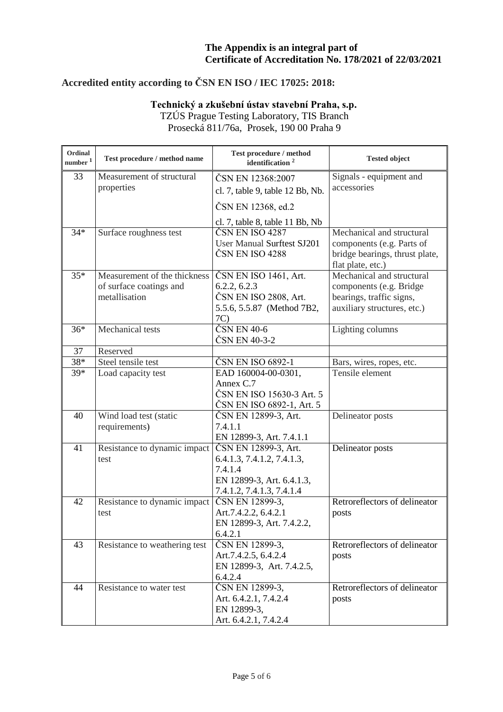# **Accredited entity according to ČSN EN ISO / IEC 17025: 2018:**

# **Technický a zkušební ústav stavební Praha, s.p.**

TZÚS Prague Testing Laboratory, TIS Branch Prosecká 811/76a, Prosek, 190 00 Praha 9

| Ordinal<br>number <sup>1</sup> | Test procedure / method name  | Test procedure / method<br>identification <sup>2</sup>                  | <b>Tested object</b>                                                                                          |
|--------------------------------|-------------------------------|-------------------------------------------------------------------------|---------------------------------------------------------------------------------------------------------------|
| 33                             | Measurement of structural     | ČSN EN 12368:2007                                                       | Signals - equipment and                                                                                       |
|                                | properties                    | cl. 7, table 9, table 12 Bb, Nb.                                        | accessories                                                                                                   |
|                                |                               | ČSN EN 12368, ed.2                                                      |                                                                                                               |
|                                |                               | cl. 7, table 8, table 11 Bb, Nb                                         |                                                                                                               |
| $34*$                          | Surface roughness test        | ČSN EN ISO 4287<br><b>User Manual Surftest SJ201</b><br>ČSN EN ISO 4288 | Mechanical and structural<br>components (e.g. Parts of<br>bridge bearings, thrust plate,<br>flat plate, etc.) |
| $35*$                          | Measurement of the thickness  | ČSN EN ISO 1461, Art.                                                   | Mechanical and structural                                                                                     |
|                                | of surface coatings and       | 6.2.2, 6.2.3                                                            | components (e.g. Bridge                                                                                       |
|                                | metallisation                 | ČSN EN ISO 2808, Art.                                                   | bearings, traffic signs,                                                                                      |
|                                |                               | 5.5.6, 5.5.87 (Method 7B2,<br>7C)                                       | auxiliary structures, etc.)                                                                                   |
| $36*$                          | Mechanical tests              | $\text{ČSN}$ EN 40-6                                                    | Lighting columns                                                                                              |
|                                |                               | ČSN EN 40-3-2                                                           |                                                                                                               |
| 37                             | Reserved                      |                                                                         |                                                                                                               |
| 38*                            | Steel tensile test            | ČSN EN ISO 6892-1                                                       | Bars, wires, ropes, etc.                                                                                      |
| 39*                            | Load capacity test            | EAD 160004-00-0301,                                                     | Tensile element                                                                                               |
|                                |                               | Annex C.7                                                               |                                                                                                               |
|                                |                               | ČSN EN ISO 15630-3 Art. 5                                               |                                                                                                               |
|                                |                               | ČSN EN ISO 6892-1, Art. 5                                               |                                                                                                               |
| 40                             | Wind load test (static        | ČSN EN 12899-3, Art.                                                    | Delineator posts                                                                                              |
|                                | requirements)                 | 7.4.1.1                                                                 |                                                                                                               |
|                                |                               | EN 12899-3, Art. 7.4.1.1                                                |                                                                                                               |
| 41                             | Resistance to dynamic impact  | ČSN EN 12899-3, Art.                                                    | Delineator posts                                                                                              |
|                                | test                          | 6.4.1.3, 7.4.1.2, 7.4.1.3,<br>7.4.1.4                                   |                                                                                                               |
|                                |                               | EN 12899-3, Art. 6.4.1.3,                                               |                                                                                                               |
|                                |                               | 7.4.1.2, 7.4.1.3, 7.4.1.4                                               |                                                                                                               |
| 42                             | Resistance to dynamic impact  | ČSN EN 12899-3,                                                         | Retroreflectors of delineator                                                                                 |
|                                | test                          | Art.7.4.2.2, 6.4.2.1                                                    | posts                                                                                                         |
|                                |                               | EN 12899-3, Art. 7.4.2.2,                                               |                                                                                                               |
|                                |                               | 6.4.2.1                                                                 |                                                                                                               |
| 43                             | Resistance to weathering test | ČSN EN 12899-3,                                                         | Retroreflectors of delineator                                                                                 |
|                                |                               | Art.7.4.2.5, 6.4.2.4                                                    | posts                                                                                                         |
|                                |                               | EN 12899-3, Art. 7.4.2.5,                                               |                                                                                                               |
|                                |                               | 6.4.2.4                                                                 |                                                                                                               |
| 44                             | Resistance to water test      | ČSN EN 12899-3,                                                         | Retroreflectors of delineator                                                                                 |
|                                |                               | Art. 6.4.2.1, 7.4.2.4                                                   | posts                                                                                                         |
|                                |                               | EN 12899-3,                                                             |                                                                                                               |
|                                |                               | Art. 6.4.2.1, 7.4.2.4                                                   |                                                                                                               |